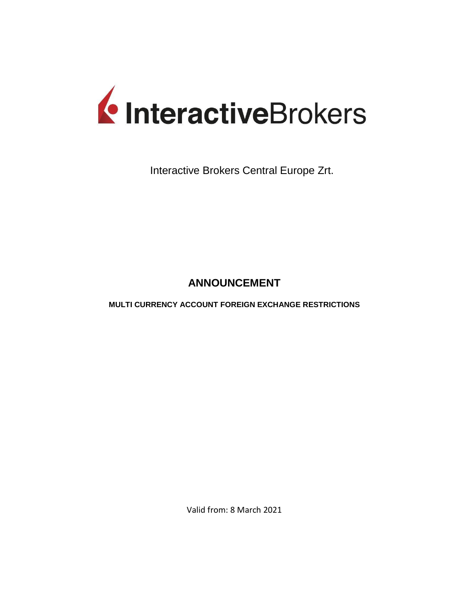

Interactive Brokers Central Europe Zrt.

## **ANNOUNCEMENT**

**MULTI CURRENCY ACCOUNT FOREIGN EXCHANGE RESTRICTIONS** 

Valid from: 8 March 2021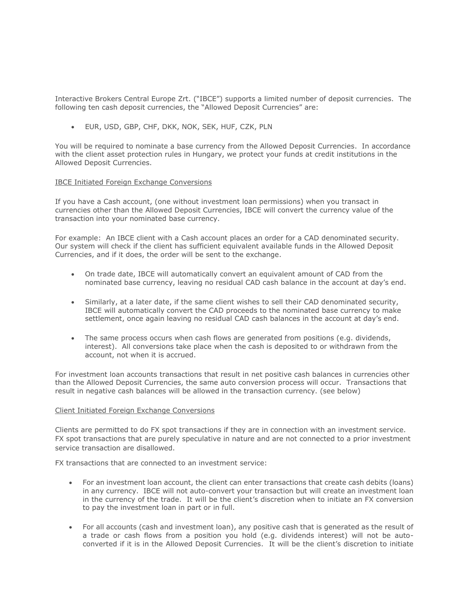Interactive Brokers Central Europe Zrt. ("IBCE") supports a limited number of deposit currencies. The following ten cash deposit currencies, the "Allowed Deposit Currencies" are:

EUR, USD, GBP, CHF, DKK, NOK, SEK, HUF, CZK, PLN

You will be required to nominate a base currency from the Allowed Deposit Currencies. In accordance with the client asset protection rules in Hungary, we protect your funds at credit institutions in the Allowed Deposit Currencies.

## IBCE Initiated Foreign Exchange Conversions

If you have a Cash account, (one without investment loan permissions) when you transact in currencies other than the Allowed Deposit Currencies, IBCE will convert the currency value of the transaction into your nominated base currency.

For example: An IBCE client with a Cash account places an order for a CAD denominated security. Our system will check if the client has sufficient equivalent available funds in the Allowed Deposit Currencies, and if it does, the order will be sent to the exchange.

- On trade date, IBCE will automatically convert an equivalent amount of CAD from the nominated base currency, leaving no residual CAD cash balance in the account at day's end.
- Similarly, at a later date, if the same client wishes to sell their CAD denominated security, IBCE will automatically convert the CAD proceeds to the nominated base currency to make settlement, once again leaving no residual CAD cash balances in the account at day's end.
- The same process occurs when cash flows are generated from positions (e.g. dividends, interest). All conversions take place when the cash is deposited to or withdrawn from the account, not when it is accrued.

For investment loan accounts transactions that result in net positive cash balances in currencies other than the Allowed Deposit Currencies, the same auto conversion process will occur. Transactions that result in negative cash balances will be allowed in the transaction currency. (see below)

## Client Initiated Foreign Exchange Conversions

Clients are permitted to do FX spot transactions if they are in connection with an investment service. FX spot transactions that are purely speculative in nature and are not connected to a prior investment service transaction are disallowed.

FX transactions that are connected to an investment service:

- For an investment loan account, the client can enter transactions that create cash debits (loans) in any currency. IBCE will not auto-convert your transaction but will create an investment loan in the currency of the trade. It will be the client's discretion when to initiate an FX conversion to pay the investment loan in part or in full.
- For all accounts (cash and investment loan), any positive cash that is generated as the result of a trade or cash flows from a position you hold (e.g. dividends interest) will not be autoconverted if it is in the Allowed Deposit Currencies. It will be the client's discretion to initiate